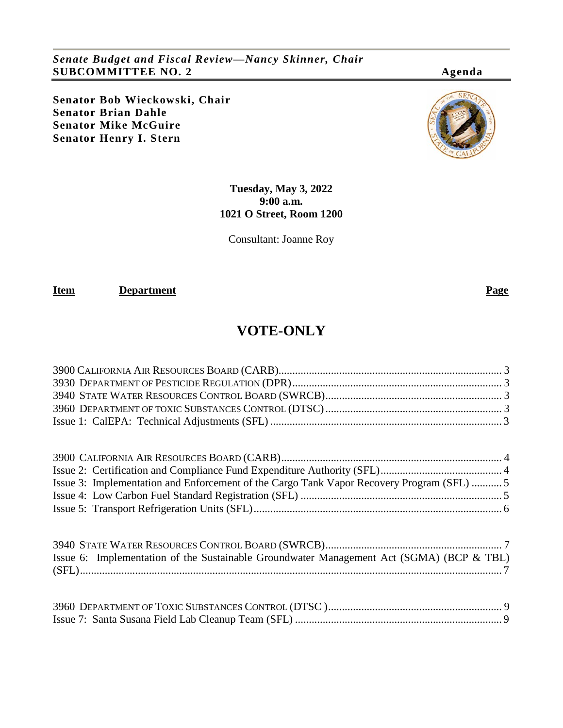*Senate Budget and Fiscal Review—Nancy Skinner, Chair* **SUBCOMMITTEE NO. 2 Agenda**

**Senator Bob Wieckowski, Chair Senator Brian Dahle Senator Mike McGuire Senator Henry I. Stern**



## **Tuesday, May 3, 2022 9:00 a.m. 1021 O Street, Room 1200**

Consultant: Joanne Roy

**Item Department Page** 

# **VOTE-ONLY**

| Issue 3: Implementation and Enforcement of the Cargo Tank Vapor Recovery Program (SFL)  5 |  |
|-------------------------------------------------------------------------------------------|--|
|                                                                                           |  |
|                                                                                           |  |
|                                                                                           |  |
| Issue 6: Implementation of the Sustainable Groundwater Management Act (SGMA) (BCP & TBL)  |  |
|                                                                                           |  |
|                                                                                           |  |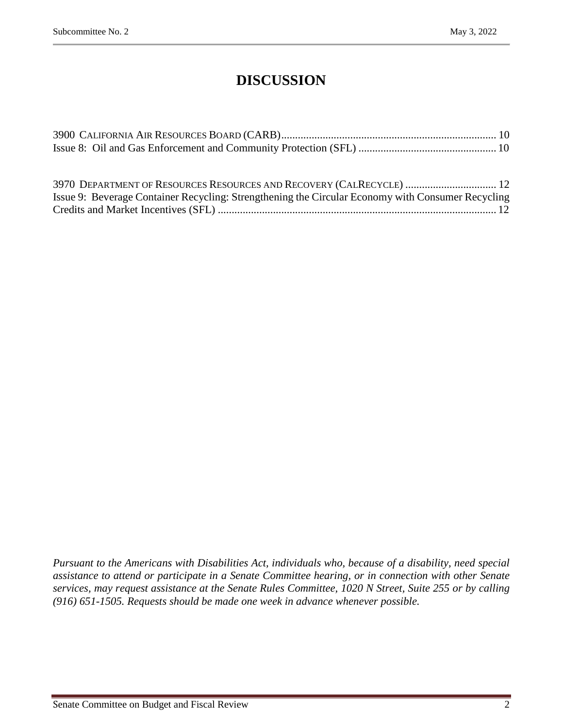# **DISCUSSION**

| 3970 DEPARTMENT OF RESOURCES RESOURCES AND RECOVERY (CALRECYCLE)  12                                                                                                                                                                                                                                                                                                                                                         |  |  |  |  |  |  |
|------------------------------------------------------------------------------------------------------------------------------------------------------------------------------------------------------------------------------------------------------------------------------------------------------------------------------------------------------------------------------------------------------------------------------|--|--|--|--|--|--|
| $\mathbf{r} = \mathbf{r} + \mathbf{r} + \mathbf{r} + \mathbf{r} + \mathbf{r} + \mathbf{r} + \mathbf{r} + \mathbf{r} + \mathbf{r} + \mathbf{r} + \mathbf{r} + \mathbf{r} + \mathbf{r} + \mathbf{r} + \mathbf{r} + \mathbf{r} + \mathbf{r} + \mathbf{r} + \mathbf{r} + \mathbf{r} + \mathbf{r} + \mathbf{r} + \mathbf{r} + \mathbf{r} + \mathbf{r} + \mathbf{r} + \mathbf{r} + \mathbf{r} + \mathbf{r} + \mathbf{r} + \mathbf$ |  |  |  |  |  |  |

| Issue 9: Beverage Container Recycling: Strengthening the Circular Economy with Consumer Recycling |  |
|---------------------------------------------------------------------------------------------------|--|
|                                                                                                   |  |

*Pursuant to the Americans with Disabilities Act, individuals who, because of a disability, need special assistance to attend or participate in a Senate Committee hearing, or in connection with other Senate services, may request assistance at the Senate Rules Committee, 1020 N Street, Suite 255 or by calling (916) 651-1505. Requests should be made one week in advance whenever possible.*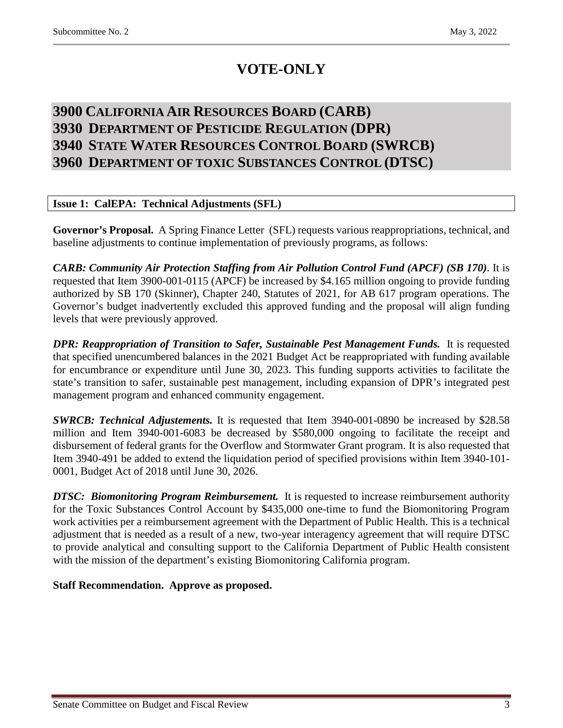# **VOTE-ONLY**

## <span id="page-2-2"></span><span id="page-2-1"></span><span id="page-2-0"></span>**3900 CALIFORNIA AIR RESOURCES BOARD (CARB) 3930 DEPARTMENT OF PESTICIDE REGULATION (DPR) 3940 STATE WATER RESOURCES CONTROL BOARD (SWRCB) 3960 DEPARTMENT OF TOXIC SUBSTANCES CONTROL (DTSC)**

## <span id="page-2-4"></span><span id="page-2-3"></span>**Issue 1: CalEPA: Technical Adjustments (SFL)**

**Governor's Proposal.** A Spring Finance Letter (SFL) requests various reappropriations, technical, and baseline adjustments to continue implementation of previously programs, as follows:

*CARB: Community Air Protection Staffing from Air Pollution Control Fund (APCF) (SB 170)*. It is requested that Item 3900-001-0115 (APCF) be increased by \$4.165 million ongoing to provide funding authorized by SB 170 (Skinner), Chapter 240, Statutes of 2021, for AB 617 program operations. The Governor's budget inadvertently excluded this approved funding and the proposal will align funding levels that were previously approved.

*DPR: Reappropriation of Transition to Safer, Sustainable Pest Management Funds.* It is requested that specified unencumbered balances in the 2021 Budget Act be reappropriated with funding available for encumbrance or expenditure until June 30, 2023. This funding supports activities to facilitate the state's transition to safer, sustainable pest management, including expansion of DPR's integrated pest management program and enhanced community engagement.

*SWRCB: Technical Adjustements.* It is requested that Item 3940-001-0890 be increased by \$28.58 million and Item 3940-001-6083 be decreased by \$580,000 ongoing to facilitate the receipt and disbursement of federal grants for the Overflow and Stormwater Grant program. It is also requested that Item 3940-491 be added to extend the liquidation period of specified provisions within Item 3940-101- 0001, Budget Act of 2018 until June 30, 2026.

*DTSC: Biomonitoring Program Reimbursement.* It is requested to increase reimbursement authority for the Toxic Substances Control Account by \$435,000 one-time to fund the Biomonitoring Program work activities per a reimbursement agreement with the Department of Public Health. This is a technical adjustment that is needed as a result of a new, two-year interagency agreement that will require DTSC to provide analytical and consulting support to the California Department of Public Health consistent with the mission of the department's existing Biomonitoring California program.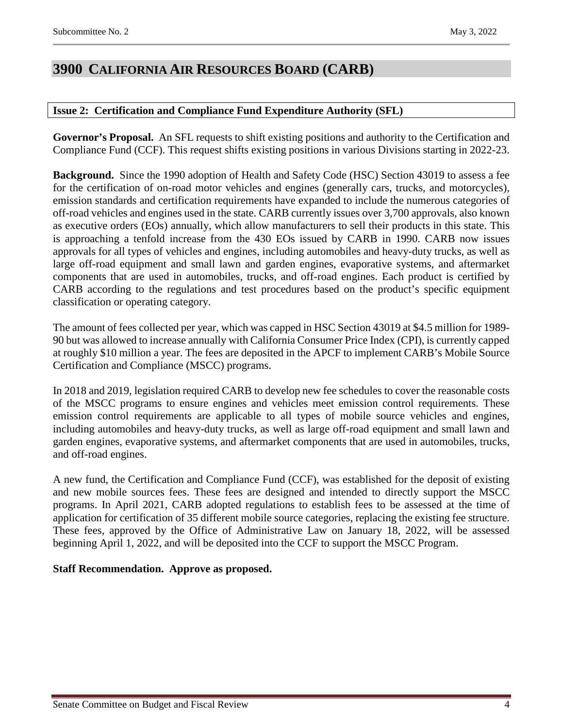## <span id="page-3-0"></span>**3900 CALIFORNIA AIR RESOURCES BOARD (CARB)**

## <span id="page-3-1"></span>**Issue 2: Certification and Compliance Fund Expenditure Authority (SFL)**

**Governor's Proposal.** An SFL requests to shift existing positions and authority to the Certification and Compliance Fund (CCF). This request shifts existing positions in various Divisions starting in 2022-23.

**Background.** Since the 1990 adoption of Health and Safety Code (HSC) Section 43019 to assess a fee for the certification of on-road motor vehicles and engines (generally cars, trucks, and motorcycles), emission standards and certification requirements have expanded to include the numerous categories of off-road vehicles and engines used in the state. CARB currently issues over 3,700 approvals, also known as executive orders (EOs) annually, which allow manufacturers to sell their products in this state. This is approaching a tenfold increase from the 430 EOs issued by CARB in 1990. CARB now issues approvals for all types of vehicles and engines, including automobiles and heavy-duty trucks, as well as large off-road equipment and small lawn and garden engines, evaporative systems, and aftermarket components that are used in automobiles, trucks, and off-road engines. Each product is certified by CARB according to the regulations and test procedures based on the product's specific equipment classification or operating category.

The amount of fees collected per year, which was capped in HSC Section 43019 at \$4.5 million for 1989- 90 but was allowed to increase annually with California Consumer Price Index (CPI), is currently capped at roughly \$10 million a year. The fees are deposited in the APCF to implement CARB's Mobile Source Certification and Compliance (MSCC) programs.

In 2018 and 2019, legislation required CARB to develop new fee schedules to cover the reasonable costs of the MSCC programs to ensure engines and vehicles meet emission control requirements. These emission control requirements are applicable to all types of mobile source vehicles and engines, including automobiles and heavy-duty trucks, as well as large off-road equipment and small lawn and garden engines, evaporative systems, and aftermarket components that are used in automobiles, trucks, and off-road engines.

A new fund, the Certification and Compliance Fund (CCF), was established for the deposit of existing and new mobile sources fees. These fees are designed and intended to directly support the MSCC programs. In April 2021, CARB adopted regulations to establish fees to be assessed at the time of application for certification of 35 different mobile source categories, replacing the existing fee structure. These fees, approved by the Office of Administrative Law on January 18, 2022, will be assessed beginning April 1, 2022, and will be deposited into the CCF to support the MSCC Program.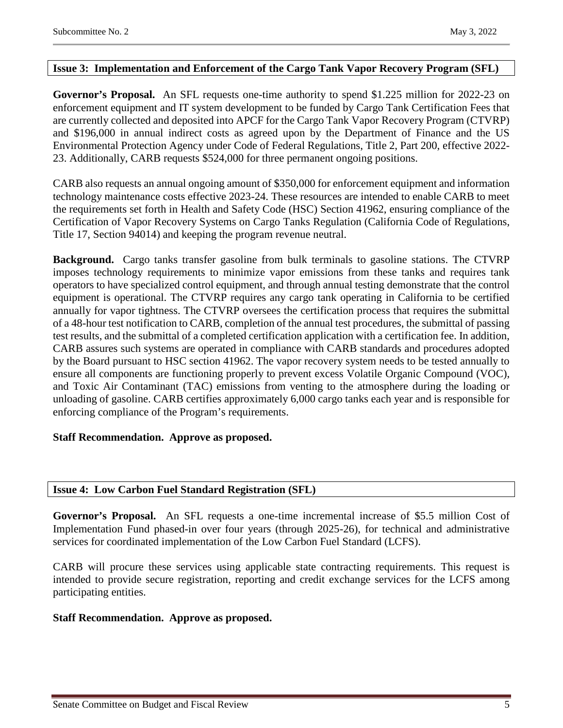## <span id="page-4-0"></span>**Issue 3: Implementation and Enforcement of the Cargo Tank Vapor Recovery Program (SFL)**

**Governor's Proposal.** An SFL requests one-time authority to spend \$1.225 million for 2022-23 on enforcement equipment and IT system development to be funded by Cargo Tank Certification Fees that are currently collected and deposited into APCF for the Cargo Tank Vapor Recovery Program (CTVRP) and \$196,000 in annual indirect costs as agreed upon by the Department of Finance and the US Environmental Protection Agency under Code of Federal Regulations, Title 2, Part 200, effective 2022- 23. Additionally, CARB requests \$524,000 for three permanent ongoing positions.

CARB also requests an annual ongoing amount of \$350,000 for enforcement equipment and information technology maintenance costs effective 2023-24. These resources are intended to enable CARB to meet the requirements set forth in Health and Safety Code (HSC) Section 41962, ensuring compliance of the Certification of Vapor Recovery Systems on Cargo Tanks Regulation (California Code of Regulations, Title 17, Section 94014) and keeping the program revenue neutral.

**Background.** Cargo tanks transfer gasoline from bulk terminals to gasoline stations. The CTVRP imposes technology requirements to minimize vapor emissions from these tanks and requires tank operators to have specialized control equipment, and through annual testing demonstrate that the control equipment is operational. The CTVRP requires any cargo tank operating in California to be certified annually for vapor tightness. The CTVRP oversees the certification process that requires the submittal of a 48-hour test notification to CARB, completion of the annual test procedures, the submittal of passing test results, and the submittal of a completed certification application with a certification fee. In addition, CARB assures such systems are operated in compliance with CARB standards and procedures adopted by the Board pursuant to HSC section 41962. The vapor recovery system needs to be tested annually to ensure all components are functioning properly to prevent excess Volatile Organic Compound (VOC), and Toxic Air Contaminant (TAC) emissions from venting to the atmosphere during the loading or unloading of gasoline. CARB certifies approximately 6,000 cargo tanks each year and is responsible for enforcing compliance of the Program's requirements.

### **Staff Recommendation. Approve as proposed.**

### <span id="page-4-1"></span>**Issue 4: Low Carbon Fuel Standard Registration (SFL)**

Governor's Proposal. An SFL requests a one-time incremental increase of \$5.5 million Cost of Implementation Fund phased-in over four years (through 2025-26), for technical and administrative services for coordinated implementation of the Low Carbon Fuel Standard (LCFS).

CARB will procure these services using applicable state contracting requirements. This request is intended to provide secure registration, reporting and credit exchange services for the LCFS among participating entities.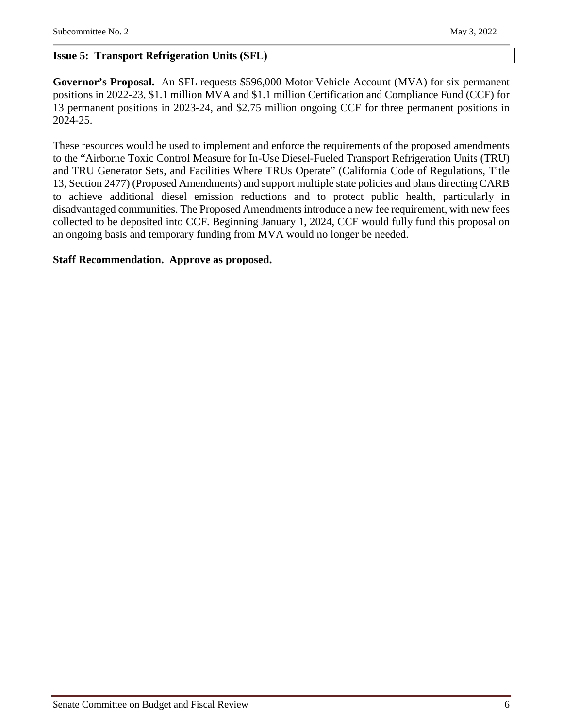## <span id="page-5-0"></span>**Issue 5: Transport Refrigeration Units (SFL)**

**Governor's Proposal.** An SFL requests \$596,000 Motor Vehicle Account (MVA) for six permanent positions in 2022-23, \$1.1 million MVA and \$1.1 million Certification and Compliance Fund (CCF) for 13 permanent positions in 2023-24, and \$2.75 million ongoing CCF for three permanent positions in 2024-25.

These resources would be used to implement and enforce the requirements of the proposed amendments to the "Airborne Toxic Control Measure for In-Use Diesel-Fueled Transport Refrigeration Units (TRU) and TRU Generator Sets, and Facilities Where TRUs Operate" (California Code of Regulations, Title 13, Section 2477) (Proposed Amendments) and support multiple state policies and plans directing CARB to achieve additional diesel emission reductions and to protect public health, particularly in disadvantaged communities. The Proposed Amendments introduce a new fee requirement, with new fees collected to be deposited into CCF. Beginning January 1, 2024, CCF would fully fund this proposal on an ongoing basis and temporary funding from MVA would no longer be needed.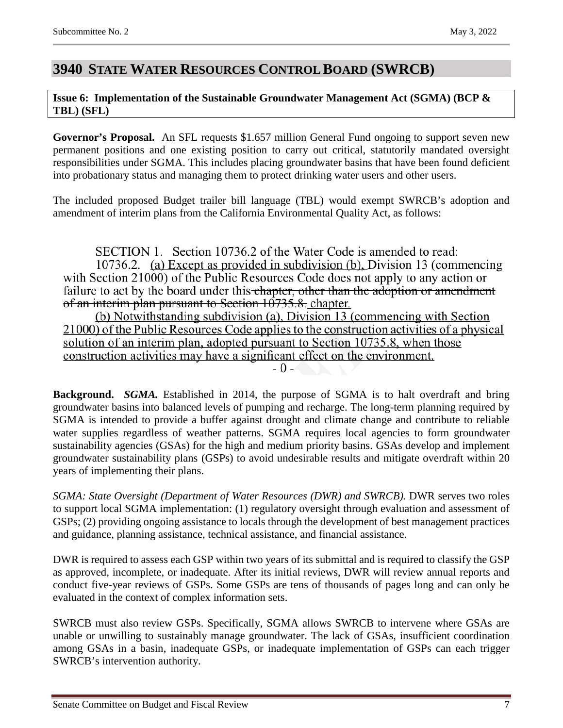## <span id="page-6-0"></span>**3940 STATE WATER RESOURCES CONTROL BOARD (SWRCB)**

## <span id="page-6-1"></span>**Issue 6: Implementation of the Sustainable Groundwater Management Act (SGMA) (BCP & TBL) (SFL)**

**Governor's Proposal.** An SFL requests \$1.657 million General Fund ongoing to support seven new permanent positions and one existing position to carry out critical, statutorily mandated oversight responsibilities under SGMA. This includes placing groundwater basins that have been found deficient into probationary status and managing them to protect drinking water users and other users.

The included proposed Budget trailer bill language (TBL) would exempt SWRCB's adoption and amendment of interim plans from the California Environmental Quality Act, as follows:

SECTION 1. Section 10736.2 of the Water Code is amended to read:

10736.2. (a) Except as provided in subdivision (b), Division 13 (commencing with Section 21000) of the Public Resources Code does not apply to any action or failure to act by the board under this chapter, other than the adoption or amendment of an interim plan pursuant to Section  $10735.8$ . chapter.

(b) Notwithstanding subdivision (a), Division 13 (commencing with Section 21000) of the Public Resources Code applies to the construction activities of a physical solution of an interim plan, adopted pursuant to Section 10735.8, when those construction activities may have a significant effect on the environment.  $-0 -$ 

**Background.** *SGMA.* Established in 2014, the purpose of SGMA is to halt overdraft and bring groundwater basins into balanced levels of pumping and recharge. The long-term planning required by SGMA is intended to provide a buffer against drought and climate change and contribute to reliable water supplies regardless of weather patterns. SGMA requires local agencies to form groundwater sustainability agencies (GSAs) for the high and medium priority basins. GSAs develop and implement groundwater sustainability plans (GSPs) to avoid undesirable results and mitigate overdraft within 20 years of implementing their plans.

*SGMA: State Oversight (Department of Water Resources (DWR) and SWRCB).* DWR serves two roles to support local SGMA implementation: (1) regulatory oversight through evaluation and assessment of GSPs; (2) providing ongoing assistance to locals through the development of best management practices and guidance, planning assistance, technical assistance, and financial assistance.

DWR is required to assess each GSP within two years of its submittal and is required to classify the GSP as approved, incomplete, or inadequate. After its initial reviews, DWR will review annual reports and conduct five-year reviews of GSPs. Some GSPs are tens of thousands of pages long and can only be evaluated in the context of complex information sets.

SWRCB must also review GSPs. Specifically, SGMA allows SWRCB to intervene where GSAs are unable or unwilling to sustainably manage groundwater. The lack of GSAs, insufficient coordination among GSAs in a basin, inadequate GSPs, or inadequate implementation of GSPs can each trigger SWRCB's intervention authority.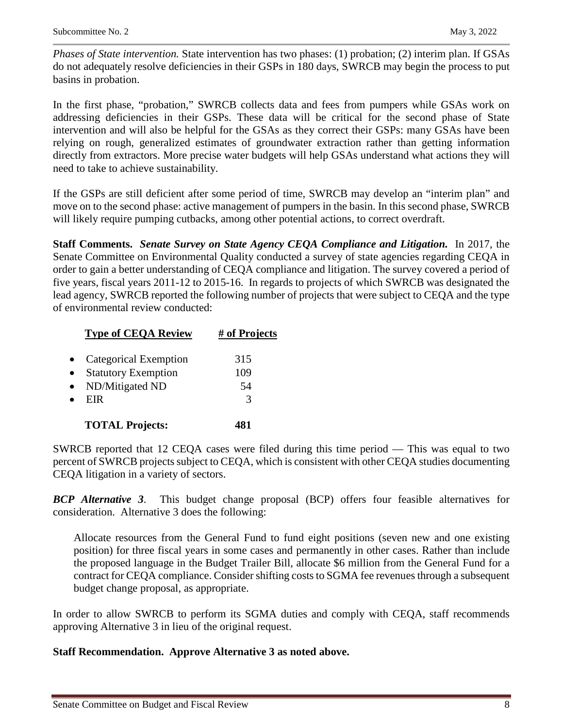*Phases of State intervention.* State intervention has two phases: (1) probation; (2) interim plan. If GSAs do not adequately resolve deficiencies in their GSPs in 180 days, SWRCB may begin the process to put basins in probation.

In the first phase, "probation," SWRCB collects data and fees from pumpers while GSAs work on addressing deficiencies in their GSPs. These data will be critical for the second phase of State intervention and will also be helpful for the GSAs as they correct their GSPs: many GSAs have been relying on rough, generalized estimates of groundwater extraction rather than getting information directly from extractors. More precise water budgets will help GSAs understand what actions they will need to take to achieve sustainability.

If the GSPs are still deficient after some period of time, SWRCB may develop an "interim plan" and move on to the second phase: active management of pumpers in the basin. In this second phase, SWRCB will likely require pumping cutbacks, among other potential actions, to correct overdraft.

**Staff Comments.** *Senate Survey on State Agency CEQA Compliance and Litigation.* In 2017, the Senate Committee on Environmental Quality conducted a survey of state agencies regarding CEQA in order to gain a better understanding of CEQA compliance and litigation. The survey covered a period of five years, fiscal years 2011-12 to 2015-16. In regards to projects of which SWRCB was designated the lead agency, SWRCB reported the following number of projects that were subject to CEQA and the type of environmental review conducted:

| <b>Type of CEQA Review</b> | # of Projects |
|----------------------------|---------------|
|                            |               |
| Categorical Exemption      | 315           |
| <b>Statutory Exemption</b> | 109           |
| ND/Mitigated ND            | 54            |
| EIR                        | $\mathcal{R}$ |
| <b>TOTAL Projects:</b>     |               |

SWRCB reported that 12 CEQA cases were filed during this time period — This was equal to two percent of SWRCB projects subject to CEQA, which is consistent with other CEQA studies documenting CEQA litigation in a variety of sectors.

*BCP Alternative 3*. This budget change proposal (BCP) offers four feasible alternatives for consideration. Alternative 3 does the following:

Allocate resources from the General Fund to fund eight positions (seven new and one existing position) for three fiscal years in some cases and permanently in other cases. Rather than include the proposed language in the Budget Trailer Bill, allocate \$6 million from the General Fund for a contract for CEQA compliance. Consider shifting costs to SGMA fee revenues through a subsequent budget change proposal, as appropriate.

In order to allow SWRCB to perform its SGMA duties and comply with CEQA, staff recommends approving Alternative 3 in lieu of the original request.

## **Staff Recommendation. Approve Alternative 3 as noted above.**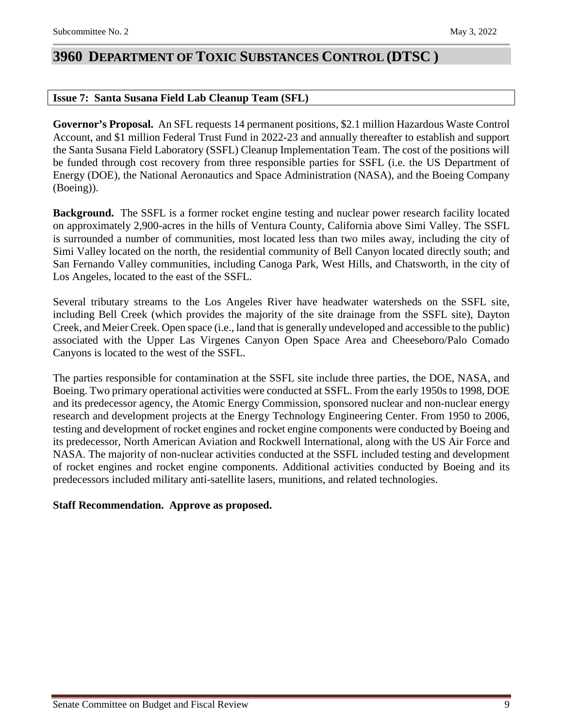## <span id="page-8-0"></span>**3960 DEPARTMENT OF TOXIC SUBSTANCES CONTROL (DTSC )**

## <span id="page-8-1"></span>**Issue 7: Santa Susana Field Lab Cleanup Team (SFL)**

**Governor's Proposal.** An SFL requests 14 permanent positions, \$2.1 million Hazardous Waste Control Account, and \$1 million Federal Trust Fund in 2022-23 and annually thereafter to establish and support the Santa Susana Field Laboratory (SSFL) Cleanup Implementation Team. The cost of the positions will be funded through cost recovery from three responsible parties for SSFL (i.e. the US Department of Energy (DOE), the National Aeronautics and Space Administration (NASA), and the Boeing Company (Boeing)).

**Background.** The SSFL is a former rocket engine testing and nuclear power research facility located on approximately 2,900-acres in the hills of Ventura County, California above Simi Valley. The SSFL is surrounded a number of communities, most located less than two miles away, including the city of Simi Valley located on the north, the residential community of Bell Canyon located directly south; and San Fernando Valley communities, including Canoga Park, West Hills, and Chatsworth, in the city of Los Angeles, located to the east of the SSFL.

Several tributary streams to the Los Angeles River have headwater watersheds on the SSFL site, including Bell Creek (which provides the majority of the site drainage from the SSFL site), Dayton Creek, and Meier Creek. Open space (i.e., land that is generally undeveloped and accessible to the public) associated with the Upper Las Virgenes Canyon Open Space Area and Cheeseboro/Palo Comado Canyons is located to the west of the SSFL.

The parties responsible for contamination at the SSFL site include three parties, the DOE, NASA, and Boeing. Two primary operational activities were conducted at SSFL. From the early 1950s to 1998, DOE and its predecessor agency, the Atomic Energy Commission, sponsored nuclear and non-nuclear energy research and development projects at the Energy Technology Engineering Center. From 1950 to 2006, testing and development of rocket engines and rocket engine components were conducted by Boeing and its predecessor, North American Aviation and Rockwell International, along with the US Air Force and NASA. The majority of non-nuclear activities conducted at the SSFL included testing and development of rocket engines and rocket engine components. Additional activities conducted by Boeing and its predecessors included military anti-satellite lasers, munitions, and related technologies.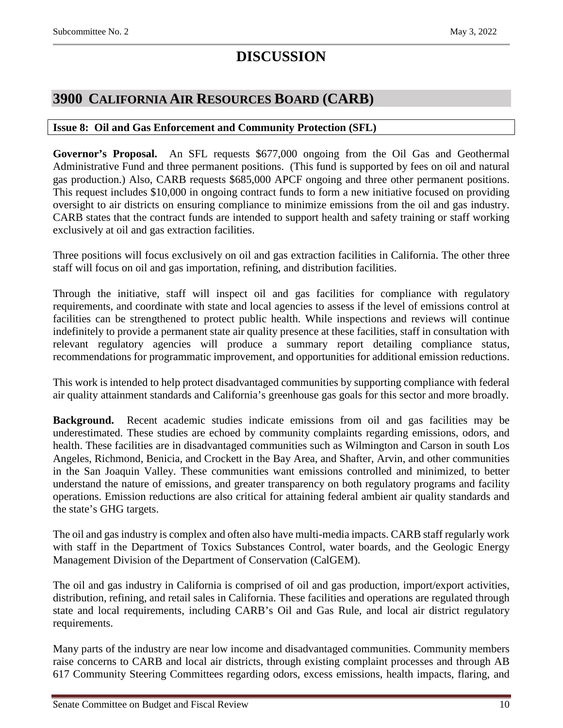# **DISCUSSION**

## <span id="page-9-0"></span>**3900 CALIFORNIA AIR RESOURCES BOARD (CARB)**

## <span id="page-9-1"></span>**Issue 8: Oil and Gas Enforcement and Community Protection (SFL)**

**Governor's Proposal.** An SFL requests \$677,000 ongoing from the Oil Gas and Geothermal Administrative Fund and three permanent positions. (This fund is supported by fees on oil and natural gas production.) Also, CARB requests \$685,000 APCF ongoing and three other permanent positions. This request includes \$10,000 in ongoing contract funds to form a new initiative focused on providing oversight to air districts on ensuring compliance to minimize emissions from the oil and gas industry. CARB states that the contract funds are intended to support health and safety training or staff working exclusively at oil and gas extraction facilities.

Three positions will focus exclusively on oil and gas extraction facilities in California. The other three staff will focus on oil and gas importation, refining, and distribution facilities.

Through the initiative, staff will inspect oil and gas facilities for compliance with regulatory requirements, and coordinate with state and local agencies to assess if the level of emissions control at facilities can be strengthened to protect public health. While inspections and reviews will continue indefinitely to provide a permanent state air quality presence at these facilities, staff in consultation with relevant regulatory agencies will produce a summary report detailing compliance status, recommendations for programmatic improvement, and opportunities for additional emission reductions.

This work is intended to help protect disadvantaged communities by supporting compliance with federal air quality attainment standards and California's greenhouse gas goals for this sector and more broadly.

**Background.** Recent academic studies indicate emissions from oil and gas facilities may be underestimated. These studies are echoed by community complaints regarding emissions, odors, and health. These facilities are in disadvantaged communities such as Wilmington and Carson in south Los Angeles, Richmond, Benicia, and Crockett in the Bay Area, and Shafter, Arvin, and other communities in the San Joaquin Valley. These communities want emissions controlled and minimized, to better understand the nature of emissions, and greater transparency on both regulatory programs and facility operations. Emission reductions are also critical for attaining federal ambient air quality standards and the state's GHG targets.

The oil and gas industry is complex and often also have multi-media impacts. CARB staff regularly work with staff in the Department of Toxics Substances Control, water boards, and the Geologic Energy Management Division of the Department of Conservation (CalGEM).

The oil and gas industry in California is comprised of oil and gas production, import/export activities, distribution, refining, and retail sales in California. These facilities and operations are regulated through state and local requirements, including CARB's Oil and Gas Rule, and local air district regulatory requirements.

Many parts of the industry are near low income and disadvantaged communities. Community members raise concerns to CARB and local air districts, through existing complaint processes and through AB 617 Community Steering Committees regarding odors, excess emissions, health impacts, flaring, and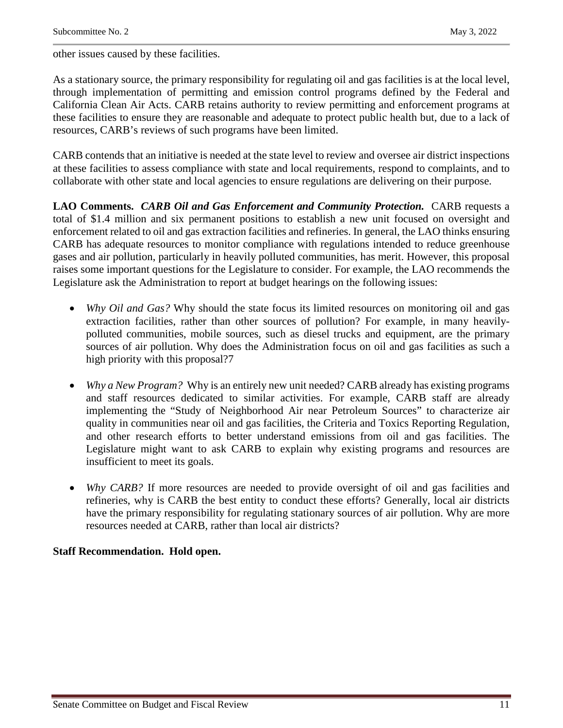other issues caused by these facilities.

As a stationary source, the primary responsibility for regulating oil and gas facilities is at the local level, through implementation of permitting and emission control programs defined by the Federal and California Clean Air Acts. CARB retains authority to review permitting and enforcement programs at these facilities to ensure they are reasonable and adequate to protect public health but, due to a lack of resources, CARB's reviews of such programs have been limited.

CARB contends that an initiative is needed at the state level to review and oversee air district inspections at these facilities to assess compliance with state and local requirements, respond to complaints, and to collaborate with other state and local agencies to ensure regulations are delivering on their purpose.

**LAO Comments.** *CARB Oil and Gas Enforcement and Community Protection.*CARB requests a total of \$1.4 million and six permanent positions to establish a new unit focused on oversight and enforcement related to oil and gas extraction facilities and refineries. In general, the LAO thinks ensuring CARB has adequate resources to monitor compliance with regulations intended to reduce greenhouse gases and air pollution, particularly in heavily polluted communities, has merit. However, this proposal raises some important questions for the Legislature to consider. For example, the LAO recommends the Legislature ask the Administration to report at budget hearings on the following issues:

- *Why Oil and Gas?* Why should the state focus its limited resources on monitoring oil and gas extraction facilities, rather than other sources of pollution? For example, in many heavilypolluted communities, mobile sources, such as diesel trucks and equipment, are the primary sources of air pollution. Why does the Administration focus on oil and gas facilities as such a high priority with this proposal?7
- *Why a New Program?* Why is an entirely new unit needed? CARB already has existing programs and staff resources dedicated to similar activities. For example, CARB staff are already implementing the "Study of Neighborhood Air near Petroleum Sources" to characterize air quality in communities near oil and gas facilities, the Criteria and Toxics Reporting Regulation, and other research efforts to better understand emissions from oil and gas facilities. The Legislature might want to ask CARB to explain why existing programs and resources are insufficient to meet its goals.
- *Why CARB?* If more resources are needed to provide oversight of oil and gas facilities and refineries, why is CARB the best entity to conduct these efforts? Generally, local air districts have the primary responsibility for regulating stationary sources of air pollution. Why are more resources needed at CARB, rather than local air districts?

## **Staff Recommendation. Hold open.**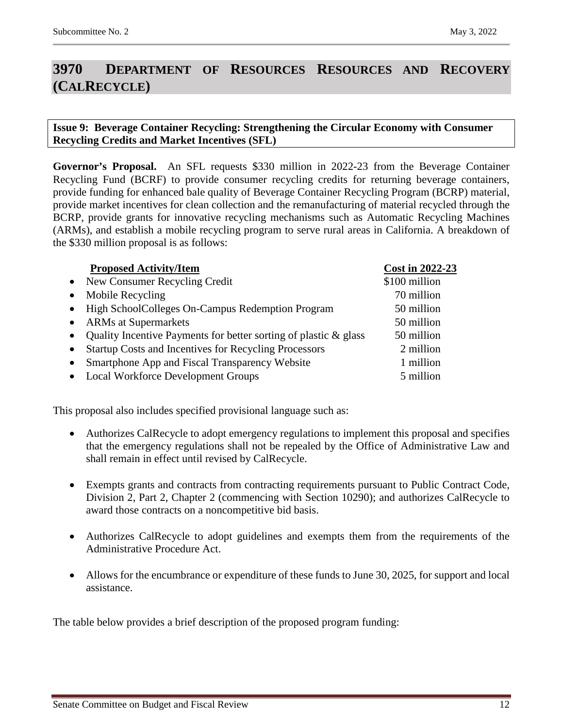# <span id="page-11-0"></span>**3970 DEPARTMENT OF RESOURCES RESOURCES AND RECOVERY (CALRECYCLE)**

## <span id="page-11-1"></span>**Issue 9: Beverage Container Recycling: Strengthening the Circular Economy with Consumer Recycling Credits and Market Incentives (SFL)**

**Governor's Proposal.** An SFL requests \$330 million in 2022-23 from the Beverage Container Recycling Fund (BCRF) to provide consumer recycling credits for returning beverage containers, provide funding for enhanced bale quality of Beverage Container Recycling Program (BCRP) material, provide market incentives for clean collection and the remanufacturing of material recycled through the BCRP, provide grants for innovative recycling mechanisms such as Automatic Recycling Machines (ARMs), and establish a mobile recycling program to serve rural areas in California. A breakdown of the \$330 million proposal is as follows:

|           | <b>Proposed Activity/Item</b>                                    | <b>Cost in 2022-23</b> |
|-----------|------------------------------------------------------------------|------------------------|
|           | • New Consumer Recycling Credit                                  | \$100 million          |
| $\bullet$ | Mobile Recycling                                                 | 70 million             |
|           | • High SchoolColleges On-Campus Redemption Program               | 50 million             |
| $\bullet$ | <b>ARMs</b> at Supermarkets                                      | 50 million             |
| $\bullet$ | Quality Incentive Payments for better sorting of plastic & glass | 50 million             |
| $\bullet$ | <b>Startup Costs and Incentives for Recycling Processors</b>     | 2 million              |
| $\bullet$ | Smartphone App and Fiscal Transparency Website                   | 1 million              |
| $\bullet$ | <b>Local Workforce Development Groups</b>                        | 5 million              |

This proposal also includes specified provisional language such as:

- Authorizes CalRecycle to adopt emergency regulations to implement this proposal and specifies that the emergency regulations shall not be repealed by the Office of Administrative Law and shall remain in effect until revised by CalRecycle.
- Exempts grants and contracts from contracting requirements pursuant to Public Contract Code, Division 2, Part 2, Chapter 2 (commencing with Section 10290); and authorizes CalRecycle to award those contracts on a noncompetitive bid basis.
- Authorizes CalRecycle to adopt guidelines and exempts them from the requirements of the Administrative Procedure Act.
- Allows for the encumbrance or expenditure of these funds to June 30, 2025, for support and local assistance.

The table below provides a brief description of the proposed program funding: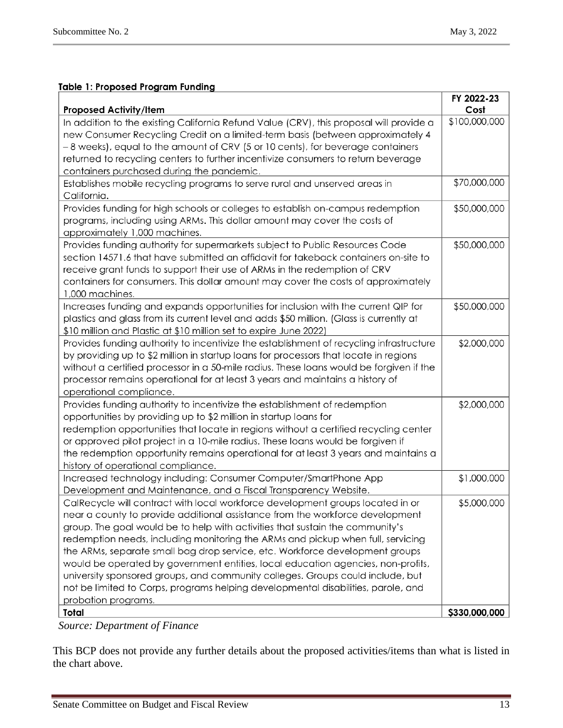### **Table 1: Proposed Program Funding**

| <b>Proposed Activity/Item</b>                                                           | FY 2022-23<br>Cost |
|-----------------------------------------------------------------------------------------|--------------------|
| In addition to the existing California Refund Value (CRV), this proposal will provide a | \$100,000,000      |
| new Consumer Recycling Credit on a limited-term basis (between approximately 4          |                    |
| -8 weeks), equal to the amount of CRV (5 or 10 cents), for beverage containers          |                    |
| returned to recycling centers to further incentivize consumers to return beverage       |                    |
| containers purchased during the pandemic.                                               |                    |
| Establishes mobile recycling programs to serve rural and unserved areas in              | \$70,000,000       |
| California.                                                                             |                    |
| Provides funding for high schools or colleges to establish on-campus redemption         | \$50,000,000       |
| programs, including using ARMs. This dollar amount may cover the costs of               |                    |
| approximately 1,000 machines.                                                           |                    |
| Provides funding authority for supermarkets subject to Public Resources Code            | \$50,000,000       |
| section 14571.6 that have submitted an affidavit for takeback containers on-site to     |                    |
| receive grant funds to support their use of ARMs in the redemption of CRV               |                    |
| containers for consumers. This dollar amount may cover the costs of approximately       |                    |
| 1,000 machines.                                                                         |                    |
| Increases funding and expands opportunities for inclusion with the current QIP for      | \$50,000,000       |
| plastics and glass from its current level and adds \$50 million. (Glass is currently at |                    |
| \$10 million and Plastic at \$10 million set to expire June 2022)                       |                    |
| Provides funding authority to incentivize the establishment of recycling infrastructure | \$2,000,000        |
| by providing up to \$2 million in startup loans for processors that locate in regions   |                    |
| without a certified processor in a 50-mile radius. These loans would be forgiven if the |                    |
| processor remains operational for at least 3 years and maintains a history of           |                    |
| operational compliance.                                                                 |                    |
| Provides funding authority to incentivize the establishment of redemption               | \$2,000,000        |
| opportunities by providing up to \$2 million in startup loans for                       |                    |
| redemption opportunities that locate in regions without a certified recycling center    |                    |
| or approved pilot project in a 10-mile radius. These loans would be forgiven if         |                    |
| the redemption opportunity remains operational for at least 3 years and maintains a     |                    |
| history of operational compliance.                                                      |                    |
| Increased technology including: Consumer Computer/SmartPhone App                        | \$1,000,000        |
| Development and Maintenance, and a Fiscal Transparency Website.                         |                    |
| CalRecycle will contract with local workforce development groups located in or          | \$5,000,000        |
| near a county to provide additional assistance from the workforce development           |                    |
| group. The goal would be to help with activities that sustain the community's           |                    |
| redemption needs, including monitoring the ARMs and pickup when full, servicing         |                    |
| the ARMs, separate small bag drop service, etc. Workforce development groups            |                    |
| would be operated by government entities, local education agencies, non-profits,        |                    |
| university sponsored groups, and community colleges. Groups could include, but          |                    |
| not be limited to Corps, programs helping developmental disabilities, parole, and       |                    |
| probation programs.                                                                     |                    |
| Total                                                                                   | \$330,000,000      |

*Source: Department of Finance*

This BCP does not provide any further details about the proposed activities/items than what is listed in the chart above.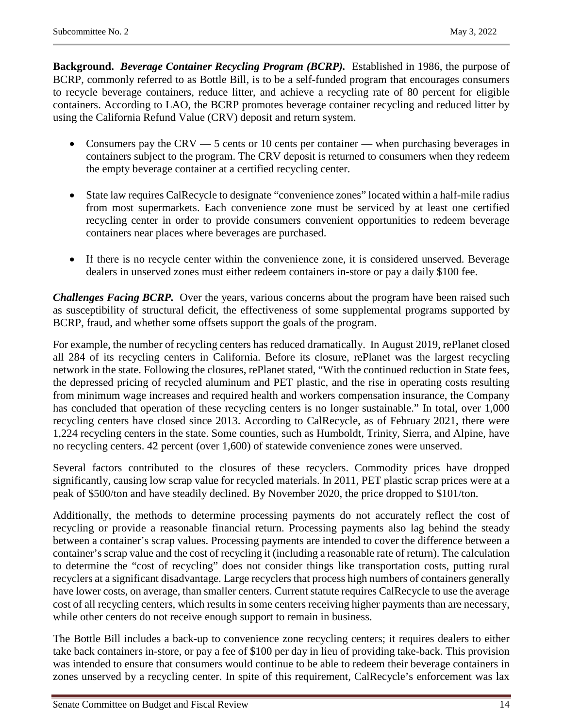**Background.** *Beverage Container Recycling Program (BCRP).* Established in 1986, the purpose of BCRP, commonly referred to as Bottle Bill, is to be a self-funded program that encourages consumers to recycle beverage containers, reduce litter, and achieve a recycling rate of 80 percent for eligible containers. According to LAO, the BCRP promotes beverage container recycling and reduced litter by using the California Refund Value (CRV) deposit and return system.

- Consumers pay the CRV 5 cents or 10 cents per container when purchasing beverages in containers subject to the program. The CRV deposit is returned to consumers when they redeem the empty beverage container at a certified recycling center.
- State law requires CalRecycle to designate "convenience zones" located within a half-mile radius from most supermarkets. Each convenience zone must be serviced by at least one certified recycling center in order to provide consumers convenient opportunities to redeem beverage containers near places where beverages are purchased.
- If there is no recycle center within the convenience zone, it is considered unserved. Beverage dealers in unserved zones must either redeem containers in-store or pay a daily \$100 fee.

**Challenges Facing BCRP.** Over the years, various concerns about the program have been raised such as susceptibility of structural deficit, the effectiveness of some supplemental programs supported by BCRP, fraud, and whether some offsets support the goals of the program.

For example, the number of recycling centers has reduced dramatically. In August 2019, rePlanet closed all 284 of its recycling centers in California. Before its closure, rePlanet was the largest recycling network in the state. Following the closures, rePlanet stated, "With the continued reduction in State fees, the depressed pricing of recycled aluminum and PET plastic, and the rise in operating costs resulting from minimum wage increases and required health and workers compensation insurance, the Company has concluded that operation of these recycling centers is no longer sustainable." In total, over 1,000 recycling centers have closed since 2013. According to CalRecycle, as of February 2021, there were 1,224 recycling centers in the state. Some counties, such as Humboldt, Trinity, Sierra, and Alpine, have no recycling centers. 42 percent (over 1,600) of statewide convenience zones were unserved.

Several factors contributed to the closures of these recyclers. Commodity prices have dropped significantly, causing low scrap value for recycled materials. In 2011, PET plastic scrap prices were at a peak of \$500/ton and have steadily declined. By November 2020, the price dropped to \$101/ton.

Additionally, the methods to determine processing payments do not accurately reflect the cost of recycling or provide a reasonable financial return. Processing payments also lag behind the steady between a container's scrap values. Processing payments are intended to cover the difference between a container's scrap value and the cost of recycling it (including a reasonable rate of return). The calculation to determine the "cost of recycling" does not consider things like transportation costs, putting rural recyclers at a significant disadvantage. Large recyclers that process high numbers of containers generally have lower costs, on average, than smaller centers. Current statute requires CalRecycle to use the average cost of all recycling centers, which results in some centers receiving higher payments than are necessary, while other centers do not receive enough support to remain in business.

The Bottle Bill includes a back-up to convenience zone recycling centers; it requires dealers to either take back containers in-store, or pay a fee of \$100 per day in lieu of providing take-back. This provision was intended to ensure that consumers would continue to be able to redeem their beverage containers in zones unserved by a recycling center. In spite of this requirement, CalRecycle's enforcement was lax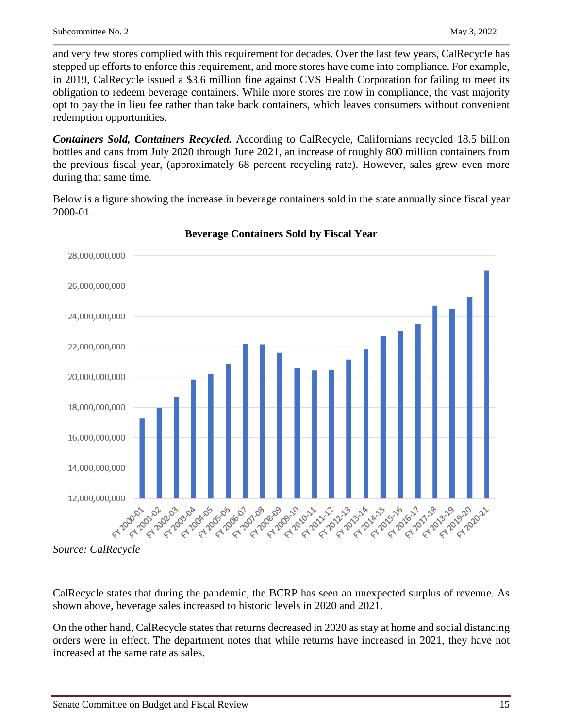and very few stores complied with this requirement for decades. Over the last few years, CalRecycle has stepped up efforts to enforce this requirement, and more stores have come into compliance. For example, in 2019, CalRecycle issued a \$3.6 million fine against CVS Health Corporation for failing to meet its obligation to redeem beverage containers. While more stores are now in compliance, the vast majority opt to pay the in lieu fee rather than take back containers, which leaves consumers without convenient redemption opportunities.

*Containers Sold, Containers Recycled.* According to CalRecycle, Californians recycled 18.5 billion bottles and cans from July 2020 through June 2021, an increase of roughly 800 million containers from the previous fiscal year, (approximately 68 percent recycling rate). However, sales grew even more during that same time.

Below is a figure showing the increase in beverage containers sold in the state annually since fiscal year 2000-01.



## **Beverage Containers Sold by Fiscal Year**

CalRecycle states that during the pandemic, the BCRP has seen an unexpected surplus of revenue. As shown above, beverage sales increased to historic levels in 2020 and 2021.

On the other hand, CalRecycle states that returns decreased in 2020 as stay at home and social distancing orders were in effect. The department notes that while returns have increased in 2021, they have not increased at the same rate as sales.

*Source: CalRecycle*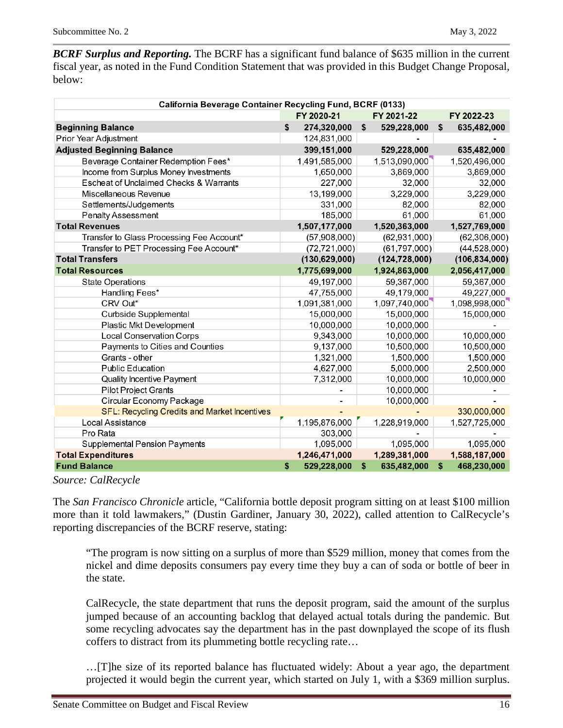*BCRF Surplus and Reporting.* The BCRF has a significant fund balance of \$635 million in the current fiscal year, as noted in the Fund Condition Statement that was provided in this Budget Change Proposal, below:

| California Beverage Container Recycling Fund, BCRF (0133) |    |                 |    |                 |    |                 |  |  |
|-----------------------------------------------------------|----|-----------------|----|-----------------|----|-----------------|--|--|
|                                                           |    | FY 2020-21      |    | FY 2021-22      |    | FY 2022-23      |  |  |
| <b>Beginning Balance</b>                                  | \$ | 274,320,000     | \$ | 529,228,000     | \$ | 635,482,000     |  |  |
| Prior Year Adjustment                                     |    | 124,831,000     |    |                 |    |                 |  |  |
| <b>Adjusted Beginning Balance</b>                         |    | 399,151,000     |    | 529,228,000     |    | 635,482,000     |  |  |
| Beverage Container Redemption Fees*                       |    | 1,491,585,000   |    | 1,513,090,000   |    | 1,520,496,000   |  |  |
| Income from Surplus Money Investments                     |    | 1,650,000       |    | 3,869,000       |    | 3,869,000       |  |  |
| Escheat of Unclaimed Checks & Warrants                    |    | 227,000         |    | 32,000          |    | 32,000          |  |  |
| Miscellaneous Revenue                                     |    | 13,199,000      |    | 3,229,000       |    | 3,229,000       |  |  |
| Settlements/Judgements                                    |    | 331,000         |    | 82,000          |    | 82,000          |  |  |
| <b>Penalty Assessment</b>                                 |    | 185,000         |    | 61,000          |    | 61,000          |  |  |
| <b>Total Revenues</b>                                     |    | 1,507,177,000   |    | 1,520,363,000   |    | 1,527,769,000   |  |  |
| Transfer to Glass Processing Fee Account*                 |    | (57,908,000)    |    | (62, 931, 000)  |    | (62, 306, 000)  |  |  |
| Transfer to PET Processing Fee Account*                   |    | (72, 721, 000)  |    | (61, 797, 000)  |    | (44,528,000)    |  |  |
| <b>Total Transfers</b>                                    |    | (130, 629, 000) |    | (124, 728, 000) |    | (106, 834, 000) |  |  |
| <b>Total Resources</b>                                    |    | 1,775,699,000   |    | 1,924,863,000   |    | 2,056,417,000   |  |  |
| <b>State Operations</b>                                   |    | 49,197,000      |    | 59,367,000      |    | 59,367,000      |  |  |
| Handling Fees*                                            |    | 47,755,000      |    | 49,179,000      |    | 49,227,000      |  |  |
| CRV Out*                                                  |    | 1,091,381,000   |    | 1,097,740,000   |    | 1,098,998,000   |  |  |
| Curbside Supplemental                                     |    | 15,000,000      |    | 15,000,000      |    | 15,000,000      |  |  |
| Plastic Mkt Development                                   |    | 10,000,000      |    | 10,000,000      |    |                 |  |  |
| <b>Local Conservation Corps</b>                           |    | 9,343,000       |    | 10,000,000      |    | 10,000,000      |  |  |
| Payments to Cities and Counties                           |    | 9,137,000       |    | 10,500,000      |    | 10,500,000      |  |  |
| Grants - other                                            |    | 1,321,000       |    | 1,500,000       |    | 1,500,000       |  |  |
| <b>Public Education</b>                                   |    | 4,627,000       |    | 5,000,000       |    | 2,500,000       |  |  |
| Quality Incentive Payment                                 |    | 7,312,000       |    | 10,000,000      |    | 10,000,000      |  |  |
| <b>Pilot Project Grants</b>                               |    |                 |    | 10,000,000      |    |                 |  |  |
| Circular Economy Package                                  |    |                 |    | 10,000,000      |    |                 |  |  |
| <b>SFL: Recycling Credits and Market Incentives</b>       |    |                 |    |                 |    | 330,000,000     |  |  |
| Local Assistance                                          |    | 1,195,876,000   |    | 1,228,919,000   |    | 1,527,725,000   |  |  |
| Pro Rata                                                  |    | 303,000         |    |                 |    |                 |  |  |
| Supplemental Pension Payments                             |    | 1,095,000       |    | 1,095,000       |    | 1,095,000       |  |  |
| <b>Total Expenditures</b>                                 |    | 1,246,471,000   |    | 1,289,381,000   |    | 1,588,187,000   |  |  |
| <b>Fund Balance</b>                                       | \$ | 529,228,000     | \$ | 635,482,000     | \$ | 468,230,000     |  |  |

#### *Source: CalRecycle*

The *San Francisco Chronicle* article, "California bottle deposit program sitting on at least \$100 million more than it told lawmakers," (Dustin Gardiner, January 30, 2022), called attention to CalRecycle's reporting discrepancies of the BCRF reserve, stating:

"The program is now sitting on a surplus of more than \$529 million, money that comes from the nickel and dime deposits consumers pay every time they buy a can of soda or bottle of beer in the state.

CalRecycle, the state department that runs the deposit program, said the amount of the surplus jumped because of an accounting backlog that delayed actual totals during the pandemic. But some recycling advocates say the department has in the past downplayed the scope of its flush coffers to distract from its plummeting bottle recycling rate…

…[T]he size of its reported balance has fluctuated widely: About a year ago, the department projected it would begin the current year, which started on July 1, with a \$369 million surplus.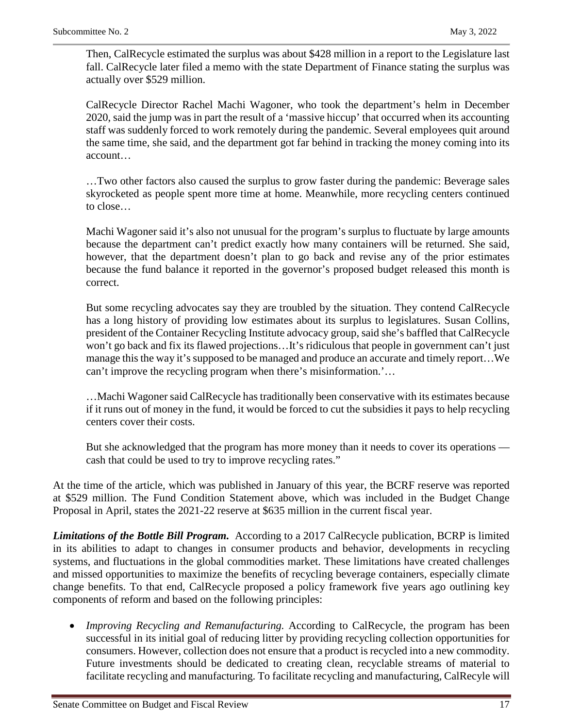Then, CalRecycle estimated the surplus was about \$428 million in a report to the Legislature last fall. CalRecycle later filed a memo with the state Department of Finance stating the surplus was actually over \$529 million.

CalRecycle Director Rachel Machi Wagoner, who took the department's helm in December 2020, said the jump was in part the result of a 'massive hiccup' that occurred when its accounting staff was suddenly forced to work remotely during the pandemic. Several employees quit around the same time, she said, and the department got far behind in tracking the money coming into its account…

…Two other factors also caused the surplus to grow faster during the pandemic: Beverage sales skyrocketed as people spent more time at home. Meanwhile, more recycling centers continued to close…

Machi Wagoner said it's also not unusual for the program's surplus to fluctuate by large amounts because the department can't predict exactly how many containers will be returned. She said, however, that the department doesn't plan to go back and revise any of the prior estimates because the fund balance it reported in the governor's proposed budget released this month is correct.

But some recycling advocates say they are troubled by the situation. They contend CalRecycle has a long history of providing low estimates about its surplus to legislatures. Susan Collins, president of the Container Recycling Institute advocacy group, said she's baffled that CalRecycle won't go back and fix its flawed projections…It's ridiculous that people in government can't just manage this the way it's supposed to be managed and produce an accurate and timely report…We can't improve the recycling program when there's misinformation.'…

…Machi Wagoner said CalRecycle has traditionally been conservative with its estimates because if it runs out of money in the fund, it would be forced to cut the subsidies it pays to help recycling centers cover their costs.

But she acknowledged that the program has more money than it needs to cover its operations cash that could be used to try to improve recycling rates."

At the time of the article, which was published in January of this year, the BCRF reserve was reported at \$529 million. The Fund Condition Statement above, which was included in the Budget Change Proposal in April, states the 2021-22 reserve at \$635 million in the current fiscal year.

*Limitations of the Bottle Bill Program.* According to a 2017 CalRecycle publication, BCRP is limited in its abilities to adapt to changes in consumer products and behavior, developments in recycling systems, and fluctuations in the global commodities market. These limitations have created challenges and missed opportunities to maximize the benefits of recycling beverage containers, especially climate change benefits. To that end, CalRecycle proposed a policy framework five years ago outlining key components of reform and based on the following principles:

• *Improving Recycling and Remanufacturing.* According to CalRecycle, the program has been successful in its initial goal of reducing litter by providing recycling collection opportunities for consumers. However, collection does not ensure that a product is recycled into a new commodity. Future investments should be dedicated to creating clean, recyclable streams of material to facilitate recycling and manufacturing. To facilitate recycling and manufacturing, CalRecyle will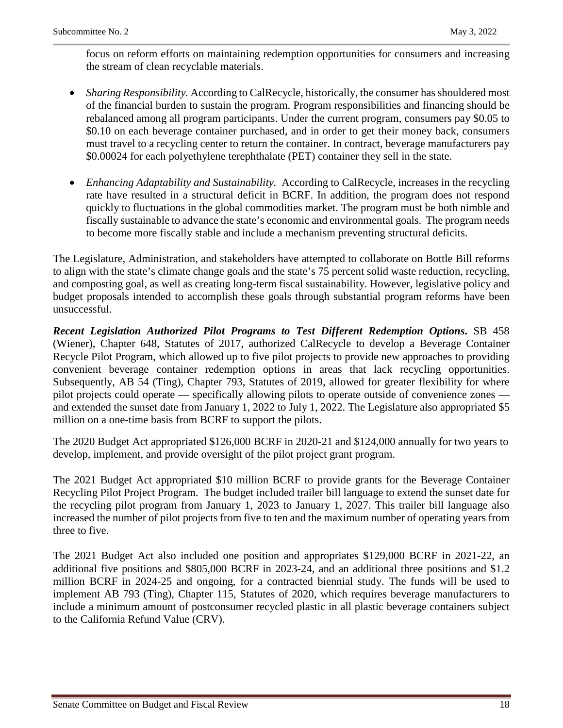focus on reform efforts on maintaining redemption opportunities for consumers and increasing the stream of clean recyclable materials.

- *Sharing Responsibility.* According to CalRecycle, historically, the consumer has shouldered most of the financial burden to sustain the program. Program responsibilities and financing should be rebalanced among all program participants. Under the current program, consumers pay \$0.05 to \$0.10 on each beverage container purchased, and in order to get their money back, consumers must travel to a recycling center to return the container. In contract, beverage manufacturers pay \$0.00024 for each polyethylene terephthalate (PET) container they sell in the state.
- *Enhancing Adaptability and Sustainability.* According to CalRecycle, increases in the recycling rate have resulted in a structural deficit in BCRF. In addition, the program does not respond quickly to fluctuations in the global commodities market. The program must be both nimble and fiscally sustainable to advance the state's economic and environmental goals. The program needs to become more fiscally stable and include a mechanism preventing structural deficits.

The Legislature, Administration, and stakeholders have attempted to collaborate on Bottle Bill reforms to align with the state's climate change goals and the state's 75 percent solid waste reduction, recycling, and composting goal, as well as creating long-term fiscal sustainability. However, legislative policy and budget proposals intended to accomplish these goals through substantial program reforms have been unsuccessful.

*Recent Legislation Authorized Pilot Programs to Test Different Redemption Options***.** SB 458 (Wiener), Chapter 648, Statutes of 2017, authorized CalRecycle to develop a Beverage Container Recycle Pilot Program, which allowed up to five pilot projects to provide new approaches to providing convenient beverage container redemption options in areas that lack recycling opportunities. Subsequently, AB 54 (Ting), Chapter 793, Statutes of 2019, allowed for greater flexibility for where pilot projects could operate — specifically allowing pilots to operate outside of convenience zones and extended the sunset date from January 1, 2022 to July 1, 2022. The Legislature also appropriated \$5 million on a one-time basis from BCRF to support the pilots.

The 2020 Budget Act appropriated \$126,000 BCRF in 2020-21 and \$124,000 annually for two years to develop, implement, and provide oversight of the pilot project grant program.

The 2021 Budget Act appropriated \$10 million BCRF to provide grants for the Beverage Container Recycling Pilot Project Program. The budget included trailer bill language to extend the sunset date for the recycling pilot program from January 1, 2023 to January 1, 2027. This trailer bill language also increased the number of pilot projects from five to ten and the maximum number of operating years from three to five.

The 2021 Budget Act also included one position and appropriates \$129,000 BCRF in 2021-22, an additional five positions and \$805,000 BCRF in 2023-24, and an additional three positions and \$1.2 million BCRF in 2024-25 and ongoing, for a contracted biennial study. The funds will be used to implement AB 793 (Ting), Chapter 115, Statutes of 2020, which requires beverage manufacturers to include a minimum amount of postconsumer recycled plastic in all plastic beverage containers subject to the California Refund Value (CRV).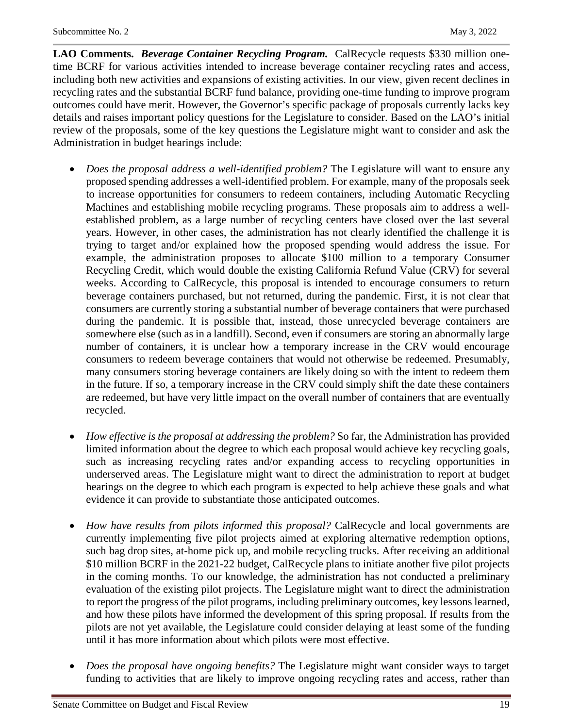**LAO Comments.** *Beverage Container Recycling Program.* CalRecycle requests \$330 million onetime BCRF for various activities intended to increase beverage container recycling rates and access, including both new activities and expansions of existing activities. In our view, given recent declines in recycling rates and the substantial BCRF fund balance, providing one-time funding to improve program outcomes could have merit. However, the Governor's specific package of proposals currently lacks key details and raises important policy questions for the Legislature to consider. Based on the LAO's initial review of the proposals, some of the key questions the Legislature might want to consider and ask the Administration in budget hearings include:

- *Does the proposal address a well-identified problem?* The Legislature will want to ensure any proposed spending addresses a well-identified problem. For example, many of the proposals seek to increase opportunities for consumers to redeem containers, including Automatic Recycling Machines and establishing mobile recycling programs. These proposals aim to address a wellestablished problem, as a large number of recycling centers have closed over the last several years. However, in other cases, the administration has not clearly identified the challenge it is trying to target and/or explained how the proposed spending would address the issue. For example, the administration proposes to allocate \$100 million to a temporary Consumer Recycling Credit, which would double the existing California Refund Value (CRV) for several weeks. According to CalRecycle, this proposal is intended to encourage consumers to return beverage containers purchased, but not returned, during the pandemic. First, it is not clear that consumers are currently storing a substantial number of beverage containers that were purchased during the pandemic. It is possible that, instead, those unrecycled beverage containers are somewhere else (such as in a landfill). Second, even if consumers are storing an abnormally large number of containers, it is unclear how a temporary increase in the CRV would encourage consumers to redeem beverage containers that would not otherwise be redeemed. Presumably, many consumers storing beverage containers are likely doing so with the intent to redeem them in the future. If so, a temporary increase in the CRV could simply shift the date these containers are redeemed, but have very little impact on the overall number of containers that are eventually recycled.
- *How effective is the proposal at addressing the problem?* So far, the Administration has provided limited information about the degree to which each proposal would achieve key recycling goals, such as increasing recycling rates and/or expanding access to recycling opportunities in underserved areas. The Legislature might want to direct the administration to report at budget hearings on the degree to which each program is expected to help achieve these goals and what evidence it can provide to substantiate those anticipated outcomes.
- *How have results from pilots informed this proposal?* CalRecycle and local governments are currently implementing five pilot projects aimed at exploring alternative redemption options, such bag drop sites, at-home pick up, and mobile recycling trucks. After receiving an additional \$10 million BCRF in the 2021-22 budget, CalRecycle plans to initiate another five pilot projects in the coming months. To our knowledge, the administration has not conducted a preliminary evaluation of the existing pilot projects. The Legislature might want to direct the administration to report the progress of the pilot programs, including preliminary outcomes, key lessons learned, and how these pilots have informed the development of this spring proposal. If results from the pilots are not yet available, the Legislature could consider delaying at least some of the funding until it has more information about which pilots were most effective.
- *Does the proposal have ongoing benefits?* The Legislature might want consider ways to target funding to activities that are likely to improve ongoing recycling rates and access, rather than